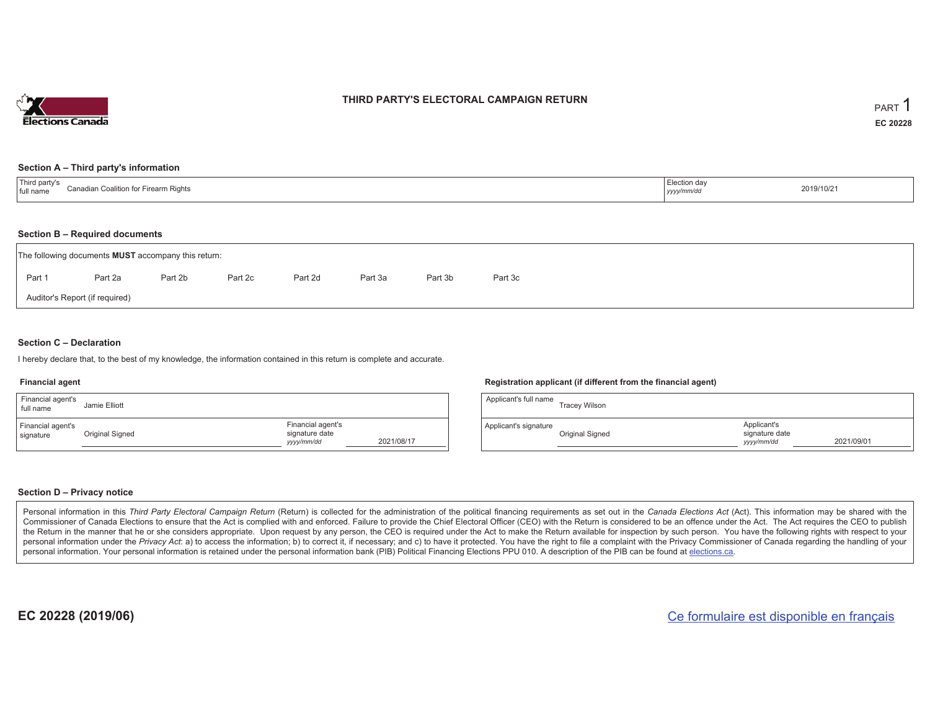

### **THIRD PARTY'S ELECTORAL CAMPAIGN RETURN**

#### **Section A – Third party's information**

| $\pm$ Third narty $\sim$<br>Canadian Coalition for F<br>irearm Rights<br>I full name | Election day<br>-------<br>, уууулттис | 2019/10/21 |
|--------------------------------------------------------------------------------------|----------------------------------------|------------|
|--------------------------------------------------------------------------------------|----------------------------------------|------------|

#### **Section B – Required documents**

|        | The following documents <b>MUST</b> accompany this return: |         |         |         |         |         |         |  |  |  |  |  |  |  |
|--------|------------------------------------------------------------|---------|---------|---------|---------|---------|---------|--|--|--|--|--|--|--|
| Part 1 | Part 2a                                                    | Part 2b | Part 2c | Part 2d | Part 3a | Part 3b | Part 3c |  |  |  |  |  |  |  |
|        | Auditor's Report (if required)                             |         |         |         |         |         |         |  |  |  |  |  |  |  |

### **Section C – Declaration**

I hereby declare that, to the best of my knowledge, the information contained in this return is complete and accurate.

#### **Financial agent**

| Financial agent's<br>full name | Jamie Elliott   |                                                  |            | Ap |
|--------------------------------|-----------------|--------------------------------------------------|------------|----|
| Financial agent's<br>signature | Original Signed | Financial agent's<br>signature date<br>yyy/mm/dd | 2021/08/17 | Ap |

#### **Registration applicant (if different from the financial agent)**

| Applicant's full name | <b>Tracey Wilson</b> |                                             |            |
|-----------------------|----------------------|---------------------------------------------|------------|
| Applicant's signature | Original Signed      | Applicant's<br>signature date<br>yyyy/mm/dd | 2021/09/01 |

#### **Section D – Privacy notice**

Personal information in this Third Party Electoral Campaign Return (Return) is collected for the administration of the political financing requirements as set out in the Canada Elections Act (Act). This information may be Commissioner of Canada Elections to ensure that the Act is complied with and enforced. Failure to provide the Chief Electoral Officer (CEO) with the Return is considered to be an offence under the Act. The Act requires the the Return in the manner that he or she considers appropriate. Upon request by any person, the CEO is required under the Act to make the Return available for inspection by such person. You have the following rights with re personal information under the Privacy Act: a) to access the information; b) to correct it, if necessary; and c) to have it protected. You have the right to file a complaint with the Privacy Commissioner of Canada regardin personal information. Your personal information is retained under the personal information bank (PIB) Political Financing Elections PPU 010. A description of the PIB can be found at elections.ca.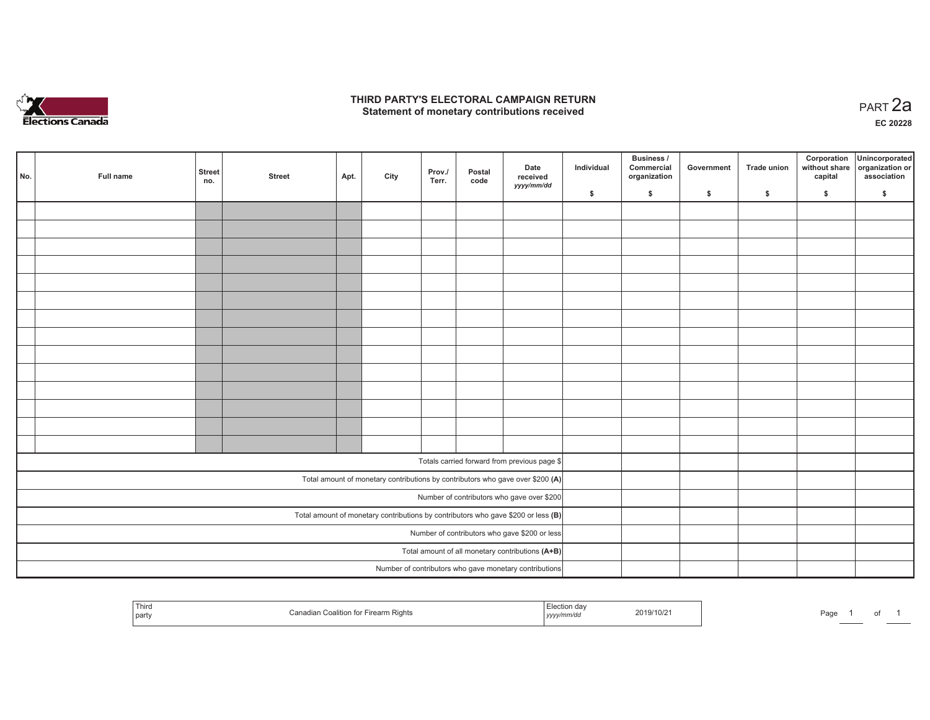

### **THIRD PARTY'S ELECTORAL CAMPAIGN RETURN HIRD PARTY'S ELECTORAL CAMPAIGN RETURN<br>Statement of monetary contributions received PART 2a**

**EC 20228**

| No. | Full name                                     | <b>Street</b><br>no.                                                                | <b>Street</b> | Apt. | City | Prov./<br>Terr. | Postal<br>code | Date<br>received<br>yyyy/mm/dd                                                 | Individual | Business /<br>Commercial<br>organization | Government | Trade union | Corporation<br>without share<br>capital | Unincorporated<br>organization or<br>association |
|-----|-----------------------------------------------|-------------------------------------------------------------------------------------|---------------|------|------|-----------------|----------------|--------------------------------------------------------------------------------|------------|------------------------------------------|------------|-------------|-----------------------------------------|--------------------------------------------------|
|     |                                               |                                                                                     |               |      |      |                 |                |                                                                                | \$         | $\mathsf{s}$                             | \$         | \$          | \$                                      | \$                                               |
|     |                                               |                                                                                     |               |      |      |                 |                |                                                                                |            |                                          |            |             |                                         |                                                  |
|     |                                               |                                                                                     |               |      |      |                 |                |                                                                                |            |                                          |            |             |                                         |                                                  |
|     |                                               |                                                                                     |               |      |      |                 |                |                                                                                |            |                                          |            |             |                                         |                                                  |
|     |                                               |                                                                                     |               |      |      |                 |                |                                                                                |            |                                          |            |             |                                         |                                                  |
|     |                                               |                                                                                     |               |      |      |                 |                |                                                                                |            |                                          |            |             |                                         |                                                  |
|     |                                               |                                                                                     |               |      |      |                 |                |                                                                                |            |                                          |            |             |                                         |                                                  |
|     |                                               |                                                                                     |               |      |      |                 |                |                                                                                |            |                                          |            |             |                                         |                                                  |
|     |                                               |                                                                                     |               |      |      |                 |                |                                                                                |            |                                          |            |             |                                         |                                                  |
|     |                                               |                                                                                     |               |      |      |                 |                |                                                                                |            |                                          |            |             |                                         |                                                  |
|     |                                               |                                                                                     |               |      |      |                 |                |                                                                                |            |                                          |            |             |                                         |                                                  |
|     |                                               |                                                                                     |               |      |      |                 |                |                                                                                |            |                                          |            |             |                                         |                                                  |
|     |                                               |                                                                                     |               |      |      |                 |                |                                                                                |            |                                          |            |             |                                         |                                                  |
|     |                                               |                                                                                     |               |      |      |                 |                |                                                                                |            |                                          |            |             |                                         |                                                  |
|     |                                               |                                                                                     |               |      |      |                 |                |                                                                                |            |                                          |            |             |                                         |                                                  |
|     |                                               |                                                                                     |               |      |      |                 |                | Totals carried forward from previous page \$                                   |            |                                          |            |             |                                         |                                                  |
|     |                                               |                                                                                     |               |      |      |                 |                | Total amount of monetary contributions by contributors who gave over \$200 (A) |            |                                          |            |             |                                         |                                                  |
|     |                                               |                                                                                     |               |      |      |                 |                | Number of contributors who gave over \$200                                     |            |                                          |            |             |                                         |                                                  |
|     |                                               | Total amount of monetary contributions by contributors who gave \$200 or less $(B)$ |               |      |      |                 |                |                                                                                |            |                                          |            |             |                                         |                                                  |
|     | Number of contributors who gave \$200 or less |                                                                                     |               |      |      |                 |                |                                                                                |            |                                          |            |             |                                         |                                                  |
|     |                                               | Total amount of all monetary contributions (A+B)                                    |               |      |      |                 |                |                                                                                |            |                                          |            |             |                                         |                                                  |
|     |                                               |                                                                                     |               |      |      |                 |                | Number of contributors who gave monetary contributions                         |            |                                          |            |             |                                         |                                                  |

| Third<br>Canadian Coalition for Firearm Rights<br>party | Election day<br>2019/10/2<br>.<br>mm/do<br>, yyyy | Page |
|---------------------------------------------------------|---------------------------------------------------|------|
|---------------------------------------------------------|---------------------------------------------------|------|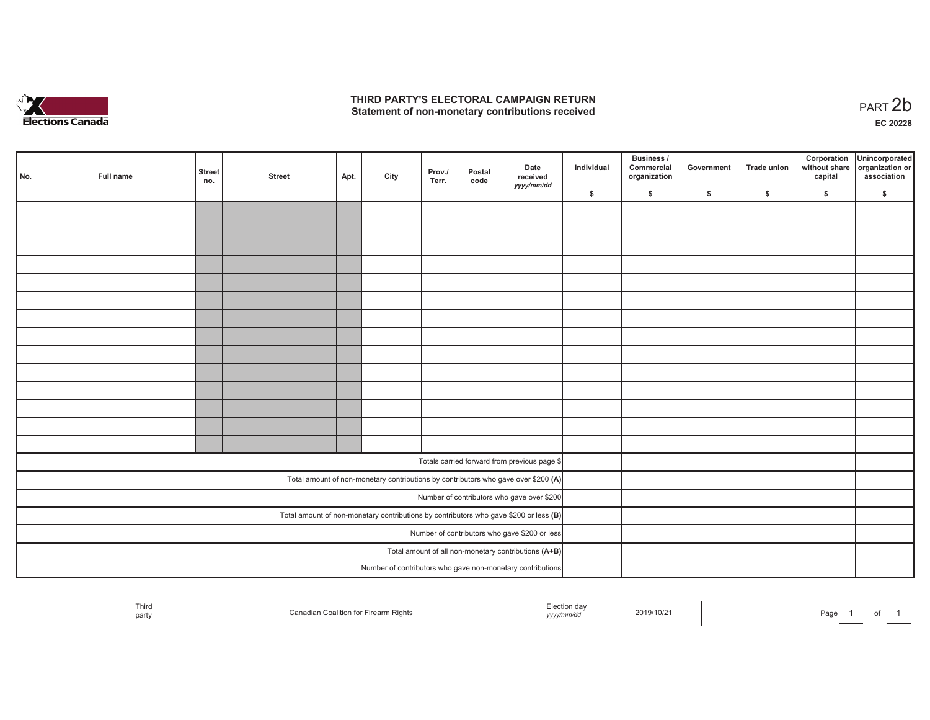

## **THIRD PARTY'S ELECTORAL CAMPAIGN RETURN**  THIRD PARTY'S ELECTORAL CAMPAIGN RETURN<br>Statement of non-monetary contributions received<br> **PART 2b**

of 1

| No.                                                                                     | Full name | <b>Street</b><br>no. | <b>Street</b> | Apt. | City | Prov./<br>Terr. | Postal<br>code | Date<br>received<br>yyyy/mm/dd                                                     | Individual | <b>Business /</b><br>Commercial<br>organization | Government   | Trade union  | Corporation<br>capital | Unincorporated<br>without share organization or<br>association |
|-----------------------------------------------------------------------------------------|-----------|----------------------|---------------|------|------|-----------------|----------------|------------------------------------------------------------------------------------|------------|-------------------------------------------------|--------------|--------------|------------------------|----------------------------------------------------------------|
|                                                                                         |           |                      |               |      |      |                 |                |                                                                                    | \$         | \$                                              | $\mathsf{s}$ | $\mathbf{s}$ | \$                     | \$                                                             |
|                                                                                         |           |                      |               |      |      |                 |                |                                                                                    |            |                                                 |              |              |                        |                                                                |
|                                                                                         |           |                      |               |      |      |                 |                |                                                                                    |            |                                                 |              |              |                        |                                                                |
|                                                                                         |           |                      |               |      |      |                 |                |                                                                                    |            |                                                 |              |              |                        |                                                                |
|                                                                                         |           |                      |               |      |      |                 |                |                                                                                    |            |                                                 |              |              |                        |                                                                |
|                                                                                         |           |                      |               |      |      |                 |                |                                                                                    |            |                                                 |              |              |                        |                                                                |
|                                                                                         |           |                      |               |      |      |                 |                |                                                                                    |            |                                                 |              |              |                        |                                                                |
|                                                                                         |           |                      |               |      |      |                 |                |                                                                                    |            |                                                 |              |              |                        |                                                                |
|                                                                                         |           |                      |               |      |      |                 |                |                                                                                    |            |                                                 |              |              |                        |                                                                |
|                                                                                         |           |                      |               |      |      |                 |                |                                                                                    |            |                                                 |              |              |                        |                                                                |
|                                                                                         |           |                      |               |      |      |                 |                |                                                                                    |            |                                                 |              |              |                        |                                                                |
|                                                                                         |           |                      |               |      |      |                 |                |                                                                                    |            |                                                 |              |              |                        |                                                                |
|                                                                                         |           |                      |               |      |      |                 |                |                                                                                    |            |                                                 |              |              |                        |                                                                |
|                                                                                         |           |                      |               |      |      |                 |                |                                                                                    |            |                                                 |              |              |                        |                                                                |
|                                                                                         |           |                      |               |      |      |                 |                |                                                                                    |            |                                                 |              |              |                        |                                                                |
|                                                                                         |           |                      |               |      |      |                 |                | Totals carried forward from previous page \$                                       |            |                                                 |              |              |                        |                                                                |
|                                                                                         |           |                      |               |      |      |                 |                |                                                                                    |            |                                                 |              |              |                        |                                                                |
|                                                                                         |           |                      |               |      |      |                 |                | Total amount of non-monetary contributions by contributors who gave over \$200 (A) |            |                                                 |              |              |                        |                                                                |
| Number of contributors who gave over \$200                                              |           |                      |               |      |      |                 |                |                                                                                    |            |                                                 |              |              |                        |                                                                |
| Total amount of non-monetary contributions by contributors who gave \$200 or less $(B)$ |           |                      |               |      |      |                 |                |                                                                                    |            |                                                 |              |              |                        |                                                                |
| Number of contributors who gave \$200 or less                                           |           |                      |               |      |      |                 |                |                                                                                    |            |                                                 |              |              |                        |                                                                |
| Total amount of all non-monetary contributions (A+B)                                    |           |                      |               |      |      |                 |                |                                                                                    |            |                                                 |              |              |                        |                                                                |
|                                                                                         |           |                      |               |      |      |                 |                | Number of contributors who gave non-monetary contributions                         |            |                                                 |              |              |                        |                                                                |

| l hird<br>par | ∵ Firearm Rights<br>⊢Coalition for l | <b>Election</b><br>.<br>'v <i>vinniv</i> uc<br>,,,,, | 2019/10/2 | Pagu |  |
|---------------|--------------------------------------|------------------------------------------------------|-----------|------|--|
|---------------|--------------------------------------|------------------------------------------------------|-----------|------|--|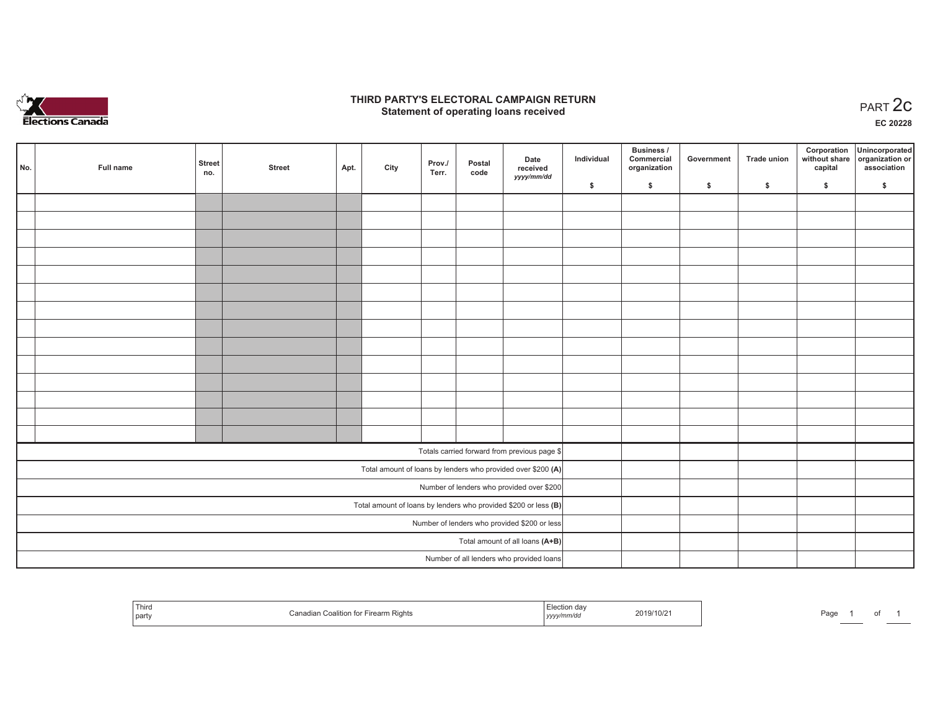

## **THIRD PARTY'S ELECTORAL CAMPAIGN RETURN STATE:** PRACT OF OPPRESS THE STATE STATE STATE STATE STATE STATE STATE STATE STATE STATE START 2C PART 2C STATE STATE STATE STATE STATE STATE STATE STATE STATE STATE STATE STATE STATE STATE STATE STATE STATE STATE STATE S

**EC 20228**

| No.                                          | Full name                                                       | <b>Street</b><br>no. | <b>Street</b> | Apt. | City | Prov./<br>Terr. | Postal<br>code | Date<br>received                                             | Individual | Business /<br>Commercial<br>organization | Government | Trade union | Corporation<br>capital | Unincorporated<br>without share organization or<br>association |
|----------------------------------------------|-----------------------------------------------------------------|----------------------|---------------|------|------|-----------------|----------------|--------------------------------------------------------------|------------|------------------------------------------|------------|-------------|------------------------|----------------------------------------------------------------|
|                                              |                                                                 |                      |               |      |      |                 |                | yyyy/mm/dd                                                   | \$         | \$                                       | \$         | \$          | \$                     | \$                                                             |
|                                              |                                                                 |                      |               |      |      |                 |                |                                                              |            |                                          |            |             |                        |                                                                |
|                                              |                                                                 |                      |               |      |      |                 |                |                                                              |            |                                          |            |             |                        |                                                                |
|                                              |                                                                 |                      |               |      |      |                 |                |                                                              |            |                                          |            |             |                        |                                                                |
|                                              |                                                                 |                      |               |      |      |                 |                |                                                              |            |                                          |            |             |                        |                                                                |
|                                              |                                                                 |                      |               |      |      |                 |                |                                                              |            |                                          |            |             |                        |                                                                |
|                                              |                                                                 |                      |               |      |      |                 |                |                                                              |            |                                          |            |             |                        |                                                                |
|                                              |                                                                 |                      |               |      |      |                 |                |                                                              |            |                                          |            |             |                        |                                                                |
|                                              |                                                                 |                      |               |      |      |                 |                |                                                              |            |                                          |            |             |                        |                                                                |
|                                              |                                                                 |                      |               |      |      |                 |                |                                                              |            |                                          |            |             |                        |                                                                |
|                                              |                                                                 |                      |               |      |      |                 |                |                                                              |            |                                          |            |             |                        |                                                                |
|                                              |                                                                 |                      |               |      |      |                 |                |                                                              |            |                                          |            |             |                        |                                                                |
|                                              |                                                                 |                      |               |      |      |                 |                |                                                              |            |                                          |            |             |                        |                                                                |
|                                              |                                                                 |                      |               |      |      |                 |                |                                                              |            |                                          |            |             |                        |                                                                |
|                                              |                                                                 |                      |               |      |      |                 |                |                                                              |            |                                          |            |             |                        |                                                                |
|                                              |                                                                 |                      |               |      |      |                 |                | Totals carried forward from previous page \$                 |            |                                          |            |             |                        |                                                                |
|                                              |                                                                 |                      |               |      |      |                 |                | Total amount of loans by lenders who provided over \$200 (A) |            |                                          |            |             |                        |                                                                |
|                                              |                                                                 |                      |               |      |      |                 |                | Number of lenders who provided over \$200                    |            |                                          |            |             |                        |                                                                |
|                                              | Total amount of loans by lenders who provided \$200 or less (B) |                      |               |      |      |                 |                |                                                              |            |                                          |            |             |                        |                                                                |
| Number of lenders who provided \$200 or less |                                                                 |                      |               |      |      |                 |                |                                                              |            |                                          |            |             |                        |                                                                |
|                                              |                                                                 |                      |               |      |      |                 |                | Total amount of all loans (A+B)                              |            |                                          |            |             |                        |                                                                |
|                                              |                                                                 |                      |               |      |      |                 |                | Number of all lenders who provided loans                     |            |                                          |            |             |                        |                                                                |

| Third<br>⊟∩alifi∩<br>` partv | ection day<br>arm Rights<br>vy/mm/ac<br>,,,,, | 2019/10/2 | Page |  |  |  |
|------------------------------|-----------------------------------------------|-----------|------|--|--|--|
|------------------------------|-----------------------------------------------|-----------|------|--|--|--|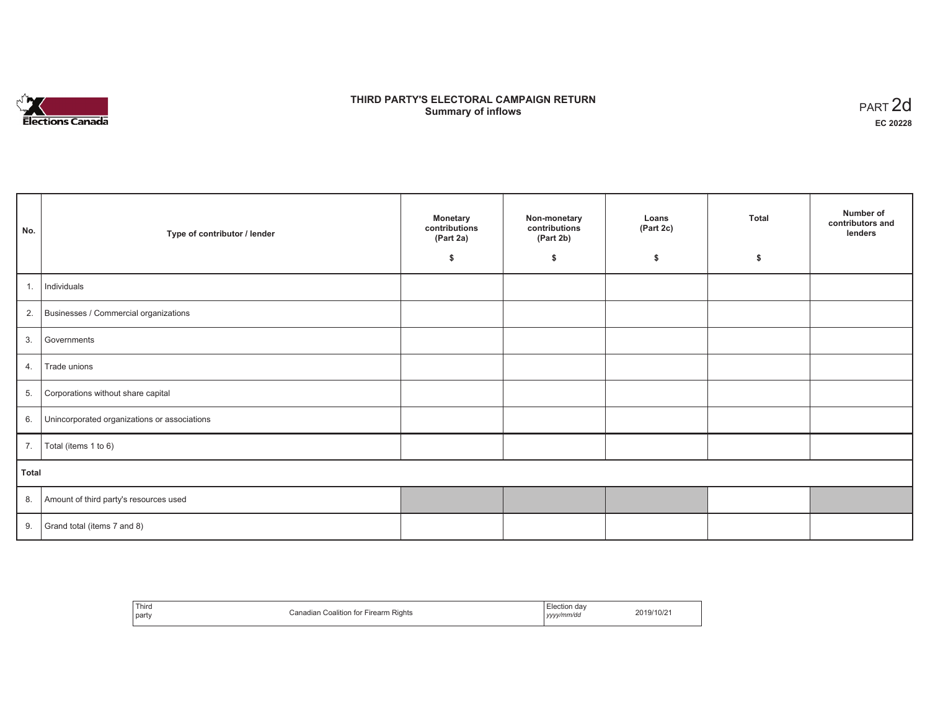

## **THIRD PARTY'S ELECTORAL CAMPAIGN RETURN S** ELECTORAL CAMPAIGN RETURN<br>Summary of inflows PART 2d

| No.   | Type of contributor / lender                    | <b>Monetary</b><br>contributions<br>(Part 2a) | Non-monetary<br>contributions<br>(Part 2b) | Loans<br>(Part 2c) | <b>Total</b> | Number of<br>contributors and<br>lenders |
|-------|-------------------------------------------------|-----------------------------------------------|--------------------------------------------|--------------------|--------------|------------------------------------------|
|       |                                                 | \$                                            | \$                                         | \$                 | \$           |                                          |
| 1.    | Individuals                                     |                                               |                                            |                    |              |                                          |
|       | 2. Businesses / Commercial organizations        |                                               |                                            |                    |              |                                          |
| 3.    | Governments                                     |                                               |                                            |                    |              |                                          |
| 4.    | Trade unions                                    |                                               |                                            |                    |              |                                          |
| 5.    | Corporations without share capital              |                                               |                                            |                    |              |                                          |
|       | 6. Unincorporated organizations or associations |                                               |                                            |                    |              |                                          |
| 7.    | Total (items 1 to 6)                            |                                               |                                            |                    |              |                                          |
| Total |                                                 |                                               |                                            |                    |              |                                          |
|       | 8. Amount of third party's resources used       |                                               |                                            |                    |              |                                          |
|       | 9. Grand total (items $7$ and $8$ )             |                                               |                                            |                    |              |                                          |

| Third<br>party | Firearm Rights<br>`anadian_<br>Coalition for F | Election dav<br>yyyy/mm/dd | 2019/10/2 |
|----------------|------------------------------------------------|----------------------------|-----------|
|----------------|------------------------------------------------|----------------------------|-----------|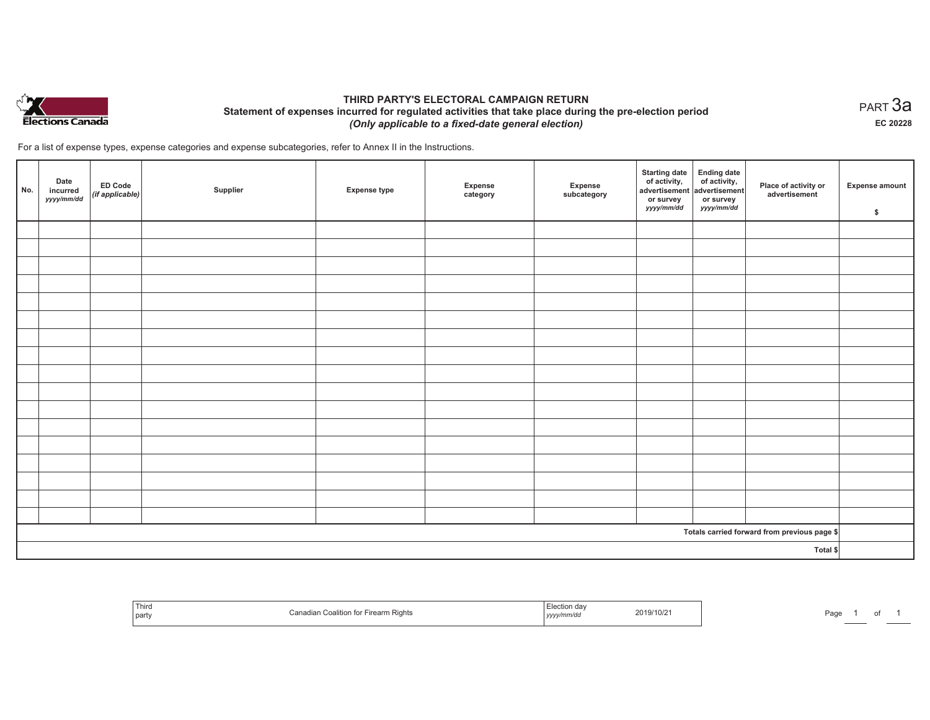

## **THIRD PARTY'S ELECTORAL CAMPAIGN RETURN Statement of expenses incurred for regulated activities that take place during the pre-election period**  *(Only applicable to a fixed-date general election)*

For a list of expense types, expense categories and expense subcategories, refer to Annex II in the Instructions.

| No. | Date<br>incurred<br>yyyy/mm/dd | <b>ED Code</b><br>(if applicable) | Supplier | <b>Expense type</b> | Expense<br>category | Expense<br>subcategory | Starting date<br>of activity,<br>advertisement<br>or survey<br>yyyy/mm/dd | Ending date<br>of activity,<br>advertisement<br>or survey<br>yyyy/mm/dd | Place of activity or<br>advertisement        | <b>Expense amount</b><br>\$ |
|-----|--------------------------------|-----------------------------------|----------|---------------------|---------------------|------------------------|---------------------------------------------------------------------------|-------------------------------------------------------------------------|----------------------------------------------|-----------------------------|
|     |                                |                                   |          |                     |                     |                        |                                                                           |                                                                         |                                              |                             |
|     |                                |                                   |          |                     |                     |                        |                                                                           |                                                                         |                                              |                             |
|     |                                |                                   |          |                     |                     |                        |                                                                           |                                                                         |                                              |                             |
|     |                                |                                   |          |                     |                     |                        |                                                                           |                                                                         |                                              |                             |
|     |                                |                                   |          |                     |                     |                        |                                                                           |                                                                         |                                              |                             |
|     |                                |                                   |          |                     |                     |                        |                                                                           |                                                                         |                                              |                             |
|     |                                |                                   |          |                     |                     |                        |                                                                           |                                                                         |                                              |                             |
|     |                                |                                   |          |                     |                     |                        |                                                                           |                                                                         |                                              |                             |
|     |                                |                                   |          |                     |                     |                        |                                                                           |                                                                         |                                              |                             |
|     |                                |                                   |          |                     |                     |                        |                                                                           |                                                                         |                                              |                             |
|     |                                |                                   |          |                     |                     |                        |                                                                           |                                                                         |                                              |                             |
|     |                                |                                   |          |                     |                     |                        |                                                                           |                                                                         |                                              |                             |
|     |                                |                                   |          |                     |                     |                        |                                                                           |                                                                         |                                              |                             |
|     |                                |                                   |          |                     |                     |                        |                                                                           |                                                                         |                                              |                             |
|     |                                |                                   |          |                     |                     |                        |                                                                           |                                                                         |                                              |                             |
|     |                                |                                   |          |                     |                     |                        |                                                                           |                                                                         |                                              |                             |
|     |                                |                                   |          |                     |                     |                        |                                                                           |                                                                         |                                              |                             |
|     |                                |                                   |          |                     |                     |                        |                                                                           |                                                                         | Totals carried forward from previous page \$ |                             |
|     | Total \$                       |                                   |          |                     |                     |                        |                                                                           |                                                                         |                                              |                             |

| <b>Th:</b><br>,,,,,<br>`party | Firearm Rights<br>n Coalition<br>ю | 2019/10/2<br>yyyynnnvao | ימפ<br>аy |
|-------------------------------|------------------------------------|-------------------------|-----------|
|-------------------------------|------------------------------------|-------------------------|-----------|

 $_{\sf PART}$ 3a **EC 20228**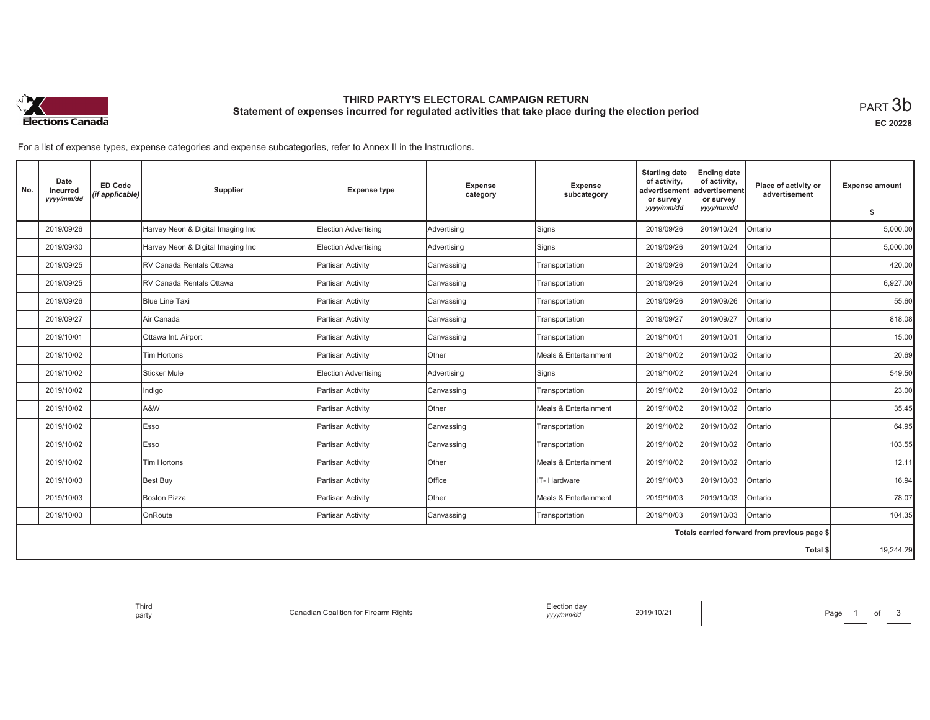

# **THIRD PARTY'S ELECTORAL CAMPAIGN RETURN Statement of expenses incurred for regulated activities that take place during the election period**<br>PART  $3\mathsf{b}$

**EC 20228**

For a list of expense types, expense categories and expense subcategories, refer to Annex II in the Instructions.

| No. | Date<br>incurred<br>yyyy/mm/dd | <b>ED Code</b><br>(if applicable) | Supplier                          | <b>Expense type</b>         | <b>Expense</b><br>category | <b>Expense</b><br>subcategory | <b>Starting date</b><br>of activity,<br>advertisement<br>or survey<br>yyyy/mm/dd | <b>Ending date</b><br>of activity,<br>advertisement<br>or survey<br>yyyy/mm/dd | Place of activity or<br>advertisement        | <b>Expense amount</b> |
|-----|--------------------------------|-----------------------------------|-----------------------------------|-----------------------------|----------------------------|-------------------------------|----------------------------------------------------------------------------------|--------------------------------------------------------------------------------|----------------------------------------------|-----------------------|
|     |                                |                                   |                                   |                             |                            |                               |                                                                                  |                                                                                |                                              | \$                    |
|     | 2019/09/26                     |                                   | Harvey Neon & Digital Imaging Inc | <b>Election Advertising</b> | Advertising                | Signs                         | 2019/09/26                                                                       | 2019/10/24                                                                     | Ontario                                      | 5,000.00              |
|     | 2019/09/30                     |                                   | Harvey Neon & Digital Imaging Inc | <b>Election Advertising</b> | Advertising                | Signs                         | 2019/09/26                                                                       | 2019/10/24                                                                     | Ontario                                      | 5,000.00              |
|     | 2019/09/25                     |                                   | RV Canada Rentals Ottawa          | Partisan Activity           | Canvassing                 | Transportation                | 2019/09/26                                                                       | 2019/10/24                                                                     | Ontario                                      | 420.00                |
|     | 2019/09/25                     |                                   | RV Canada Rentals Ottawa          | Partisan Activity           | Canvassing                 | Transportation                | 2019/09/26                                                                       | 2019/10/24                                                                     | Ontario                                      | 6,927.00              |
|     | 2019/09/26                     |                                   | Blue Line Taxi                    | Partisan Activity           | Canvassing                 | Transportation                | 2019/09/26                                                                       | 2019/09/26                                                                     | Ontario                                      | 55.60                 |
|     | 2019/09/27                     |                                   | Air Canada                        | Partisan Activity           | Canvassing                 | Transportation                | 2019/09/27                                                                       | 2019/09/27                                                                     | Ontario                                      | 818.08                |
|     | 2019/10/01                     |                                   | Ottawa Int. Airport               | Partisan Activity           | Canvassing                 | Transportation                | 2019/10/01                                                                       | 2019/10/01                                                                     | Ontario                                      | 15.00                 |
|     | 2019/10/02                     |                                   | <b>Tim Hortons</b>                | Partisan Activity           | Other                      | Meals & Entertainment         | 2019/10/02                                                                       | 2019/10/02                                                                     | Ontario                                      | 20.69                 |
|     | 2019/10/02                     |                                   | Sticker Mule                      | <b>Election Advertising</b> | Advertising                | Signs                         | 2019/10/02                                                                       | 2019/10/24                                                                     | Ontario                                      | 549.50                |
|     | 2019/10/02                     |                                   | Indigo                            | Partisan Activity           | Canvassing                 | Transportation                | 2019/10/02                                                                       | 2019/10/02                                                                     | Ontario                                      | 23.00                 |
|     | 2019/10/02                     |                                   | A&W                               | Partisan Activity           | Other                      | Meals & Entertainment         | 2019/10/02                                                                       | 2019/10/02                                                                     | Ontario                                      | 35.45                 |
|     | 2019/10/02                     |                                   | Esso                              | Partisan Activity           | Canvassing                 | Transportation                | 2019/10/02                                                                       | 2019/10/02                                                                     | Ontario                                      | 64.95                 |
|     | 2019/10/02                     |                                   | Esso                              | Partisan Activity           | Canvassing                 | Transportation                | 2019/10/02                                                                       | 2019/10/02                                                                     | Ontario                                      | 103.55                |
|     | 2019/10/02                     |                                   | Tim Hortons                       | Partisan Activity           | Other                      | Meals & Entertainment         | 2019/10/02                                                                       | 2019/10/02                                                                     | Ontario                                      | 12.11                 |
|     | 2019/10/03                     |                                   | Best Buy                          | Partisan Activity           | Office                     | IT-Hardware                   | 2019/10/03                                                                       | 2019/10/03                                                                     | Ontario                                      | 16.94                 |
|     | 2019/10/03                     |                                   | <b>Boston Pizza</b>               | Partisan Activity           | Other                      | Meals & Entertainment         | 2019/10/03                                                                       | 2019/10/03                                                                     | Ontario                                      | 78.07                 |
|     | 2019/10/03                     |                                   | OnRoute                           | Partisan Activity           | Canvassing                 | Transportation                | 2019/10/03                                                                       | 2019/10/03                                                                     | Ontario                                      | 104.35                |
|     |                                |                                   |                                   |                             |                            |                               |                                                                                  |                                                                                | Totals carried forward from previous page \$ |                       |
|     |                                |                                   |                                   |                             |                            |                               |                                                                                  |                                                                                | Total \$                                     | 19,244.29             |
|     |                                |                                   |                                   |                             |                            |                               |                                                                                  |                                                                                |                                              |                       |

| ∃lection da∖<br>2019/10/21<br>yyyy/mm/dd | Firearm Rights<br>∴anadian ∶<br>Coalition for |
|------------------------------------------|-----------------------------------------------|
|------------------------------------------|-----------------------------------------------|

Page 1 of 3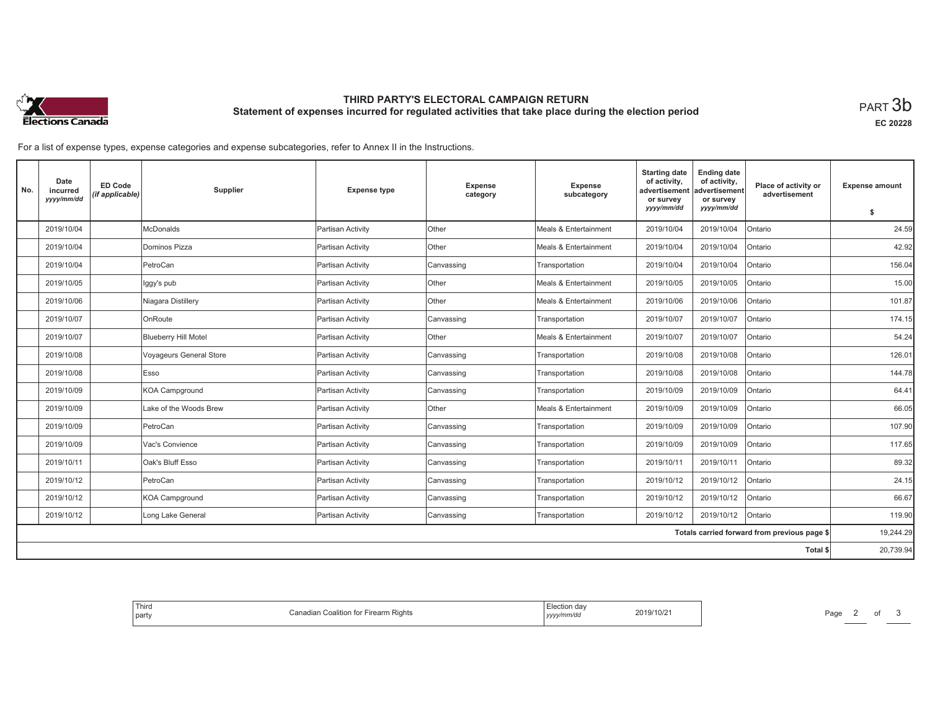

# **THIRD PARTY'S ELECTORAL CAMPAIGN RETURN Statement of expenses incurred for regulated activities that take place during the election period**<br>PART  $3\mathsf{b}$

**EC 20228**

For a list of expense types, expense categories and expense subcategories, refer to Annex II in the Instructions.

| No.                                          | Date<br>incurred<br>yyyy/mm/dd | <b>ED Code</b><br>(if applicable) | Supplier                       | <b>Expense type</b> | <b>Expense</b><br>category | <b>Expense</b><br>subcategory | <b>Starting date</b><br>of activity,<br>advertisement<br>or survey | <b>Ending date</b><br>of activity,<br>advertisement<br>or survey | Place of activity or<br>advertisement | <b>Expense amount</b> |
|----------------------------------------------|--------------------------------|-----------------------------------|--------------------------------|---------------------|----------------------------|-------------------------------|--------------------------------------------------------------------|------------------------------------------------------------------|---------------------------------------|-----------------------|
|                                              |                                |                                   |                                |                     |                            |                               | yyyy/mm/dd                                                         | yyyy/mm/dd                                                       |                                       | \$                    |
|                                              | 2019/10/04                     |                                   | <b>McDonalds</b>               | Partisan Activity   | Other                      | Meals & Entertainment         | 2019/10/04                                                         | 2019/10/04                                                       | Ontario                               | 24.59                 |
|                                              | 2019/10/04                     |                                   | Dominos Pizza                  | Partisan Activity   | Other                      | Meals & Entertainment         | 2019/10/04                                                         | 2019/10/04                                                       | Ontario                               | 42.92                 |
|                                              | 2019/10/04                     |                                   | PetroCan                       | Partisan Activity   | Canvassing                 | Transportation                | 2019/10/04                                                         | 2019/10/04                                                       | Ontario                               | 156.04                |
|                                              | 2019/10/05                     |                                   | Iggy's pub                     | Partisan Activity   | Other                      | Meals & Entertainment         | 2019/10/05                                                         | 2019/10/05                                                       | Ontario                               | 15.00                 |
|                                              | 2019/10/06                     |                                   | Niagara Distillery             | Partisan Activity   | Other                      | Meals & Entertainment         | 2019/10/06                                                         | 2019/10/06                                                       | Ontario                               | 101.87                |
|                                              | 2019/10/07                     |                                   | OnRoute                        | Partisan Activity   | Canvassing                 | Transportation                | 2019/10/07                                                         | 2019/10/07                                                       | Ontario                               | 174.15                |
|                                              | 2019/10/07                     |                                   | <b>Blueberry Hill Motel</b>    | Partisan Activity   | <b>Other</b>               | Meals & Entertainment         | 2019/10/07                                                         | 2019/10/07                                                       | Ontario                               | 54.24                 |
|                                              | 2019/10/08                     |                                   | <b>Voyageurs General Store</b> | Partisan Activity   | Canvassing                 | Transportation                | 2019/10/08                                                         | 2019/10/08                                                       | Ontario                               | 126.01                |
|                                              | 2019/10/08                     |                                   | Esso                           | Partisan Activity   | Canvassing                 | Transportation                | 2019/10/08                                                         | 2019/10/08                                                       | Ontario                               | 144.78                |
|                                              | 2019/10/09                     |                                   | <b>KOA Campground</b>          | Partisan Activity   | Canvassing                 | Transportation                | 2019/10/09                                                         | 2019/10/09                                                       | Ontario                               | 64.41                 |
|                                              | 2019/10/09                     |                                   | Lake of the Woods Brew         | Partisan Activity   | Other                      | Meals & Entertainment         | 2019/10/09                                                         | 2019/10/09                                                       | Ontario                               | 66.05                 |
|                                              | 2019/10/09                     |                                   | PetroCan                       | Partisan Activity   | Canvassing                 | Transportation                | 2019/10/09                                                         | 2019/10/09                                                       | Ontario                               | 107.90                |
|                                              | 2019/10/09                     |                                   | Vac's Convience                | Partisan Activity   | Canvassing                 | Transportation                | 2019/10/09                                                         | 2019/10/09                                                       | Ontario                               | 117.65                |
|                                              | 2019/10/11                     |                                   | Oak's Bluff Esso               | Partisan Activity   | Canvassing                 | Transportation                | 2019/10/11                                                         | 2019/10/11                                                       | Ontario                               | 89.32                 |
|                                              | 2019/10/12                     |                                   | PetroCan                       | Partisan Activity   | Canvassing                 | Transportation                | 2019/10/12                                                         | 2019/10/12                                                       | Ontario                               | 24.15                 |
|                                              | 2019/10/12                     |                                   | <b>KOA Campground</b>          | Partisan Activity   | Canvassing                 | Transportation                | 2019/10/12                                                         | 2019/10/12                                                       | Ontario                               | 66.67                 |
|                                              | 2019/10/12                     |                                   | Long Lake General              | Partisan Activity   | Canvassing                 | Transportation                | 2019/10/12                                                         | 2019/10/12                                                       | Ontario                               | 119.90                |
| Totals carried forward from previous page \$ |                                |                                   |                                |                     |                            |                               |                                                                    | 19,244.29                                                        |                                       |                       |
|                                              |                                |                                   |                                |                     |                            |                               |                                                                    |                                                                  | <b>Total \$</b>                       | 20,739.94             |

| .∹lection da∨<br>2019/10/21<br>Firearm Rights<br>Cana<br>agian<br>Coalition for<br>v/mm/dr<br>,,,,, |  |
|-----------------------------------------------------------------------------------------------------|--|
|-----------------------------------------------------------------------------------------------------|--|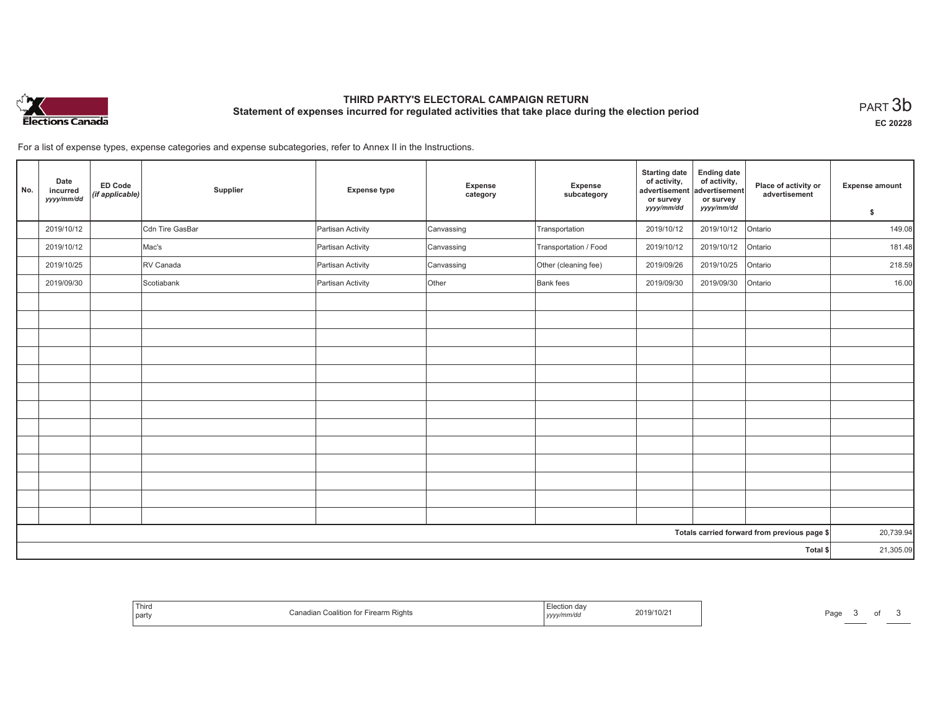

# **THIRD PARTY'S ELECTORAL CAMPAIGN RETURN Statement of expenses incurred for regulated activities that take place during the election period**<br>PART  $3\mathsf{b}$

**EC 20228**

of  $3$ 

For a list of expense types, expense categories and expense subcategories, refer to Annex II in the Instructions.

| No. | Date<br>incurred<br>yyyy/mm/dd | <b>ED Code</b><br>(if applicable) | Supplier        | <b>Expense type</b> | Expense<br>category | Expense<br>subcategory | <b>Starting date</b><br>of activity,<br>advertisement<br>or survey<br>yyyy/mm/dd | <b>Ending date</b><br>of activity,<br>advertisement<br>or survey<br>yyyy/mm/dd | Place of activity or<br>advertisement        | <b>Expense amount</b><br>\$ |
|-----|--------------------------------|-----------------------------------|-----------------|---------------------|---------------------|------------------------|----------------------------------------------------------------------------------|--------------------------------------------------------------------------------|----------------------------------------------|-----------------------------|
|     | 2019/10/12                     |                                   | Cdn Tire GasBar | Partisan Activity   | Canvassing          | Transportation         | 2019/10/12                                                                       | 2019/10/12                                                                     | Ontario                                      | 149.08                      |
|     | 2019/10/12                     |                                   | Mac's           | Partisan Activity   | Canvassing          | Transportation / Food  | 2019/10/12                                                                       | 2019/10/12                                                                     | Ontario                                      | 181.48                      |
|     | 2019/10/25                     |                                   | RV Canada       | Partisan Activity   | Canvassing          | Other (cleaning fee)   | 2019/09/26                                                                       | 2019/10/25                                                                     | Ontario                                      | 218.59                      |
|     | 2019/09/30                     |                                   | Scotiabank      | Partisan Activity   | Other               | Bank fees              | 2019/09/30                                                                       | 2019/09/30                                                                     | Ontario                                      | 16.00                       |
|     |                                |                                   |                 |                     |                     |                        |                                                                                  |                                                                                |                                              |                             |
|     |                                |                                   |                 |                     |                     |                        |                                                                                  |                                                                                |                                              |                             |
|     |                                |                                   |                 |                     |                     |                        |                                                                                  |                                                                                |                                              |                             |
|     |                                |                                   |                 |                     |                     |                        |                                                                                  |                                                                                |                                              |                             |
|     |                                |                                   |                 |                     |                     |                        |                                                                                  |                                                                                |                                              |                             |
|     |                                |                                   |                 |                     |                     |                        |                                                                                  |                                                                                |                                              |                             |
|     |                                |                                   |                 |                     |                     |                        |                                                                                  |                                                                                |                                              |                             |
|     |                                |                                   |                 |                     |                     |                        |                                                                                  |                                                                                |                                              |                             |
|     |                                |                                   |                 |                     |                     |                        |                                                                                  |                                                                                |                                              |                             |
|     |                                |                                   |                 |                     |                     |                        |                                                                                  |                                                                                |                                              |                             |
|     |                                |                                   |                 |                     |                     |                        |                                                                                  |                                                                                |                                              |                             |
|     |                                |                                   |                 |                     |                     |                        |                                                                                  |                                                                                |                                              |                             |
|     |                                |                                   |                 |                     |                     |                        |                                                                                  |                                                                                |                                              |                             |
|     |                                |                                   |                 |                     |                     |                        |                                                                                  |                                                                                | Totals carried forward from previous page \$ | 20,739.94                   |
|     | Total \$                       |                                   |                 |                     |                     |                        |                                                                                  |                                                                                |                                              |                             |

| Third<br>party | arm<br>Rial |  | U | au |  |
|----------------|-------------|--|---|----|--|
|----------------|-------------|--|---|----|--|